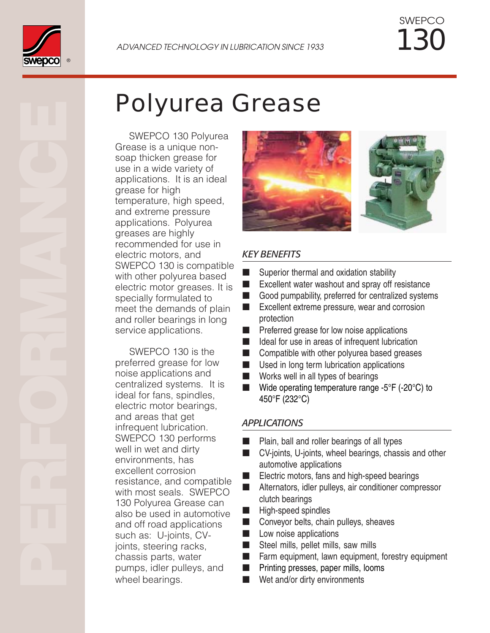

*130* SWEPCO

# *Polyurea Grease*

 SWEPCO 130 Polyurea Grease is a unique nonsoap thicken grease for use in a wide variety of applications. It is an ideal grease for high temperature, high speed, and extreme pressure applications. Polyurea greases are highly recommended for use in electric motors, and SWEPCO 130 is compatible with other polyurea based electric motor greases. It is specially formulated to meet the demands of plain and roller bearings in long service applications.

 SWEPCO 130 is the preferred grease for low noise applications and centralized systems. It is ideal for fans, spindles, electric motor bearings, and areas that get infrequent lubrication. SWEPCO 130 performs well in wet and dirty environments, has excellent corrosion resistance, and compatible with most seals. SWEPCO 130 Polyurea Grease can also be used in automotive and off road applications such as: U-joints, CVjoints, steering racks, chassis parts, water pumps, idler pulleys, and wheel bearings.



## *KEY BENEFITS*

- Superior thermal and oxidation stability
- Excellent water washout and spray off resistance
- Good pumpability, preferred for centralized systems
- Excellent extreme pressure, wear and corrosion protection
- Preferred grease for low noise applications
- Ideal for use in areas of infrequent lubrication
- Compatible with other polyurea based greases
- Used in long term lubrication applications
- Works well in all types of bearings
- $\blacksquare$  Wide operating temperature range -5°F (-20°C) to 450°F (232°C)

### *APPLICATIONS*

- Plain, ball and roller bearings of all types
- CV-joints, U-joints, wheel bearings, chassis and other automotive applications
- Electric motors, fans and high-speed bearings
- Alternators, idler pulleys, air conditioner compressor clutch bearings
- High-speed spindles
- Conveyor belts, chain pulleys, sheaves
- Low noise applications
- Steel mills, pellet mills, saw mills
- Farm equipment, lawn equipment, forestry equipment
- Printing presses, paper mills, looms
- Wet and/or dirty environments